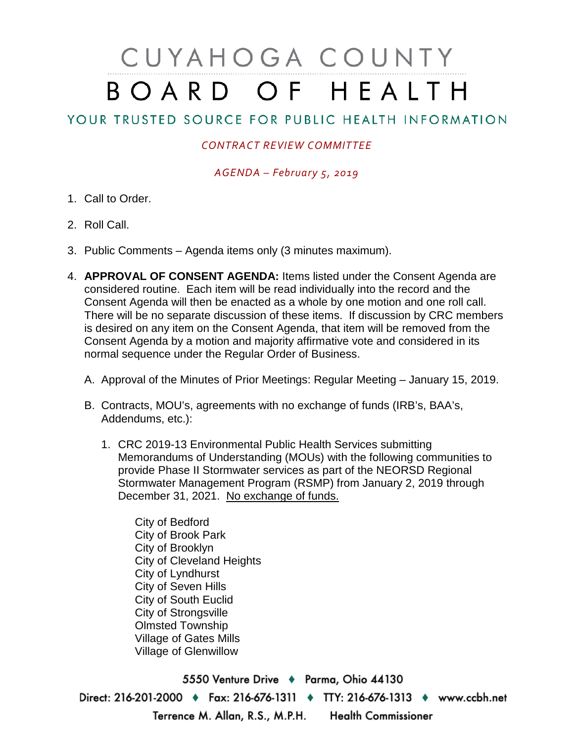# CUYAHOGA COUNTY BOARD OF HEALTH

## YOUR TRUSTED SOURCE FOR PUBLIC HEALTH INFORMATION

### *CONTRACT REVIEW COMMITTEE*

*AGENDA – February 5, 2019*

- 1. Call to Order.
- 2. Roll Call.
- 3. Public Comments Agenda items only (3 minutes maximum).
- 4. **APPROVAL OF CONSENT AGENDA:** Items listed under the Consent Agenda are considered routine. Each item will be read individually into the record and the Consent Agenda will then be enacted as a whole by one motion and one roll call. There will be no separate discussion of these items. If discussion by CRC members is desired on any item on the Consent Agenda, that item will be removed from the Consent Agenda by a motion and majority affirmative vote and considered in its normal sequence under the Regular Order of Business.
	- A. Approval of the Minutes of Prior Meetings: Regular Meeting January 15, 2019.
	- B. Contracts, MOU's, agreements with no exchange of funds (IRB's, BAA's, Addendums, etc.):
		- 1. CRC 2019-13 Environmental Public Health Services submitting Memorandums of Understanding (MOUs) with the following communities to provide Phase II Stormwater services as part of the NEORSD Regional Stormwater Management Program (RSMP) from January 2, 2019 through December 31, 2021. No exchange of funds.

City of Bedford City of Brook Park City of Brooklyn City of Cleveland Heights City of Lyndhurst City of Seven Hills City of South Euclid City of Strongsville Olmsted Township Village of Gates Mills Village of Glenwillow

5550 Venture Drive + Parma, Ohio 44130 Direct: 216-201-2000 ♦ Fax: 216-676-1311 ♦ TTY: 216-676-1313 ♦ www.ccbh.net Terrence M. Allan, R.S., M.P.H. Health Commissioner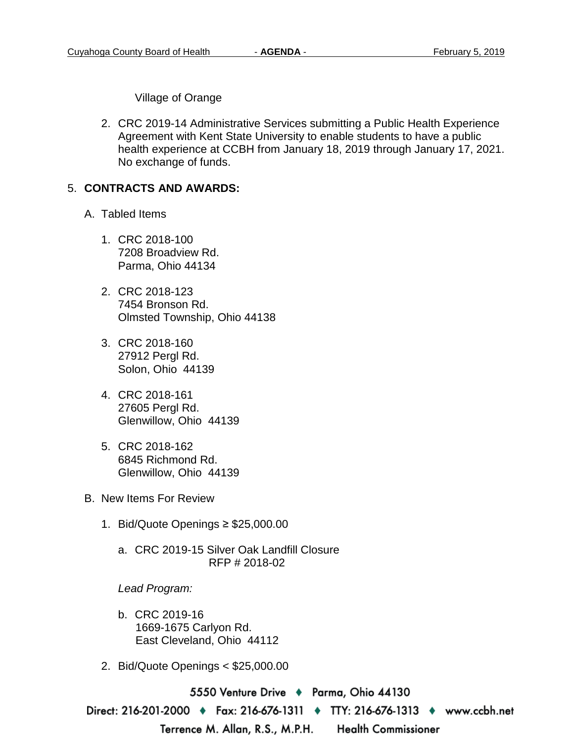Village of Orange

2. CRC 2019-14 Administrative Services submitting a Public Health Experience Agreement with Kent State University to enable students to have a public health experience at CCBH from January 18, 2019 through January 17, 2021. No exchange of funds.

#### 5. **CONTRACTS AND AWARDS:**

- A. Tabled Items
	- 1. CRC 2018-100 7208 Broadview Rd. Parma, Ohio 44134
	- 2. CRC 2018-123 7454 Bronson Rd. Olmsted Township, Ohio 44138
	- 3. CRC 2018-160 27912 Pergl Rd. Solon, Ohio 44139
	- 4. CRC 2018-161 27605 Pergl Rd. Glenwillow, Ohio 44139
	- 5. CRC 2018-162 6845 Richmond Rd. Glenwillow, Ohio 44139
- B. New Items For Review
	- 1. Bid/Quote Openings ≥ \$25,000.00
		- a. CRC 2019-15 Silver Oak Landfill Closure RFP # 2018-02

#### *Lead Program:*

- b. CRC 2019-16 1669-1675 Carlyon Rd. East Cleveland, Ohio 44112
- 2. Bid/Quote Openings < \$25,000.00

5550 Venture Drive ♦ Parma, Ohio 44130

Direct: 216-201-2000 • Fax: 216-676-1311 • TTY: 216-676-1313 • www.ccbh.net

Terrence M. Allan, R.S., M.P.H.

**Health Commissioner**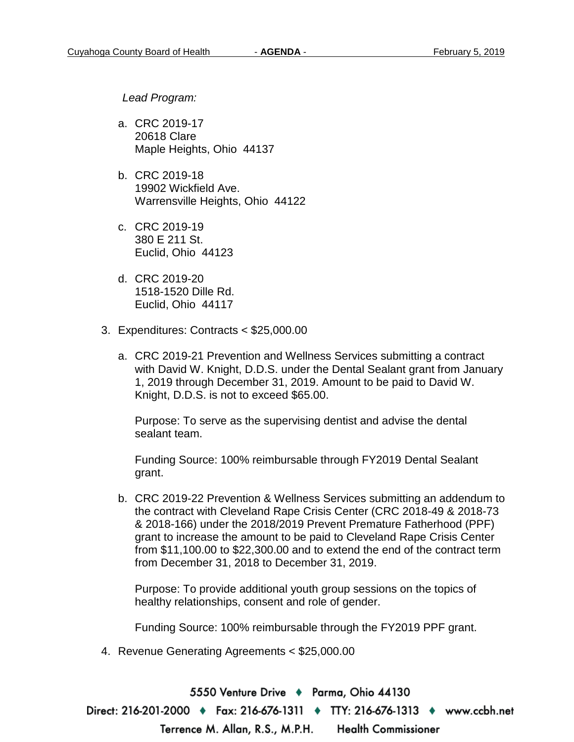*Lead Program:*

- a. CRC 2019-17 20618 Clare Maple Heights, Ohio 44137
- b. CRC 2019-18 19902 Wickfield Ave. Warrensville Heights, Ohio 44122
- c. CRC 2019-19 380 E 211 St. Euclid, Ohio 44123
- d. CRC 2019-20 1518-1520 Dille Rd. Euclid, Ohio 44117
- 3. Expenditures: Contracts < \$25,000.00
	- a. CRC 2019-21 Prevention and Wellness Services submitting a contract with David W. Knight, D.D.S. under the Dental Sealant grant from January 1, 2019 through December 31, 2019. Amount to be paid to David W. Knight, D.D.S. is not to exceed \$65.00.

Purpose: To serve as the supervising dentist and advise the dental sealant team.

Funding Source: 100% reimbursable through FY2019 Dental Sealant grant.

b. CRC 2019-22 Prevention & Wellness Services submitting an addendum to the contract with Cleveland Rape Crisis Center (CRC 2018-49 & 2018-73 & 2018-166) under the 2018/2019 Prevent Premature Fatherhood (PPF) grant to increase the amount to be paid to Cleveland Rape Crisis Center from \$11,100.00 to \$22,300.00 and to extend the end of the contract term from December 31, 2018 to December 31, 2019.

Purpose: To provide additional youth group sessions on the topics of healthy relationships, consent and role of gender.

Funding Source: 100% reimbursable through the FY2019 PPF grant.

4. Revenue Generating Agreements < \$25,000.00

5550 Venture Drive + Parma, Ohio 44130 Direct: 216-201-2000 ♦ Fax: 216-676-1311 ♦ TTY: 216-676-1313 ♦ www.ccbh.net Terrence M. Allan, R.S., M.P.H. **Health Commissioner**